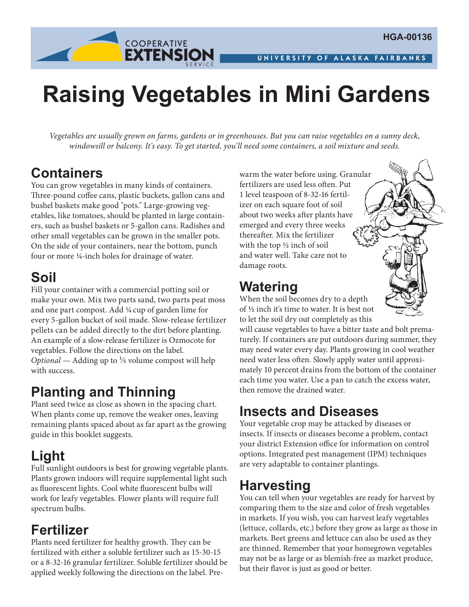

# **Raising Vegetables in Mini Gardens**

*Vegetables are usually grown on farms, gardens or in greenhouses. But you can raise vegetables on a sunny deck, windowsill or balcony. It's easy. To get started, you'll need some containers, a soil mixture and seeds.*

#### **Containers**

You can grow vegetables in many kinds of containers. Three-pound coffee cans, plastic buckets, gallon cans and bushel baskets make good "pots." Large-growing vegetables, like tomatoes, should be planted in large containers, such as bushel baskets or 5-gallon cans. Radishes and other small vegetables can be grown in the smaller pots. On the side of your containers, near the bottom, punch four or more ¼-inch holes for drainage of water.

### **Soil**

Fill your container with a commercial potting soil or make your own. Mix two parts sand, two parts peat moss and one part compost. Add ¼cup of garden lime for every 5-gallon bucket of soil made. Slow-release fertilizer pellets can be added directly to the dirt before planting. An example of a slow-release fertilizer is Ozmocote for vegetables. Follow the directions on the label. *Optional* — Adding up to <sup>1</sup>/<sub>5</sub> volume compost will help with success.

## **Planting and Thinning**

Plant seed twice as close as shown in the spacing chart. When plants come up, remove the weaker ones, leaving remaining plants spaced about as far apart as the growing guide in this booklet suggests.

#### **Light**

Full sunlight outdoors is best for growing vegetable plants. Plants grown indoors will require supplemental light such as fluorescent lights. Cool white fluorescent bulbs will work for leafy vegetables. Flower plants will require full spectrum bulbs.

#### **Fertilizer**

Plants need fertilizer for healthy growth. They can be fertilized with either a soluble fertilizer such as 15-30-15 or a 8-32-16 granular fertilizer. Soluble fertilizer should be applied weekly following the directions on the label. Prewarm the water before using. Granular fertilizers are used less often. Put 1 level teaspoon of 8-32-16 fertilizer on each square foot of soil about two weeks after plants have emerged and every three weeks thereafter. Mix the fertilizer with the top ½ inch of soil and water well. Take care not to damage roots.

## **Watering**

When the soil becomes dry to a depth of ½ inch it's time to water. It is best not to let the soil dry out completely as this



will cause vegetables to have a bitter taste and bolt prematurely. If containers are put outdoors during summer, they may need water every day. Plants growing in cool weather need water less often. Slowly apply water until approximately 10 percent drains from the bottom of the container each time you water. Use a pan to catch the excess water, then remove the drained water.

#### **Insects and Diseases**

Your vegetable crop may be attacked by diseases or insects. If insects or diseases become a problem, contact your district Extension office for information on control options. Integrated pest management (IPM) techniques are very adaptable to container plantings.

#### **Harvesting**

You can tell when your vegetables are ready for harvest by comparing them to the size and color of fresh vegetables in markets. If you wish, you can harvest leafy vegetables (lettuce, collards, etc.) before they grow as large as those in markets. Beet greens and lettuce can also be used as they are thinned. Remember that your homegrown vegetables may not be as large or as blemish-free as market produce, but their flavor is just as good or better.